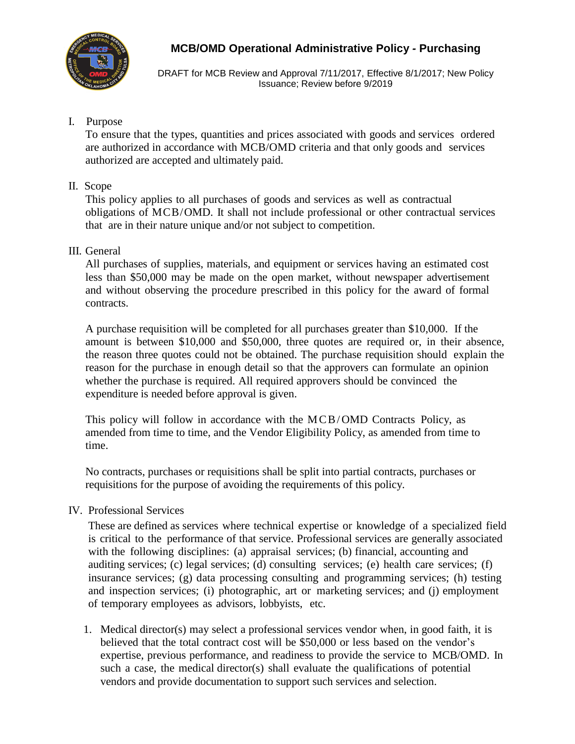

DRAFT for MCB Review and Approval 7/11/2017, Effective 8/1/2017; New Policy Issuance; Review before 9/2019

## I. Purpose

To ensure that the types, quantities and prices associated with goods and services ordered are authorized in accordance with MCB/OMD criteria and that only goods and services authorized are accepted and ultimately paid.

### II. Scope

This policy applies to all purchases of goods and services as well as contractual obligations of MCB/OMD. It shall not include professional or other contractual services that are in their nature unique and/or not subject to competition.

### III. General

All purchases of supplies, materials, and equipment or services having an estimated cost less than \$50,000 may be made on the open market, without newspaper advertisement and without observing the procedure prescribed in this policy for the award of formal contracts.

A purchase requisition will be completed for all purchases greater than \$10,000. If the amount is between \$10,000 and \$50,000, three quotes are required or, in their absence, the reason three quotes could not be obtained. The purchase requisition should explain the reason for the purchase in enough detail so that the approvers can formulate an opinion whether the purchase is required. All required approvers should be convinced the expenditure is needed before approval is given.

This policy will follow in accordance with the MCB/OMD Contracts Policy, as amended from time to time, and the Vendor Eligibility Policy, as amended from time to time.

No contracts, purchases or requisitions shall be split into partial contracts, purchases or requisitions for the purpose of avoiding the requirements of this policy.

## IV. Professional Services

These are defined as services where technical expertise or knowledge of a specialized field is critical to the performance of that service. Professional services are generally associated with the following disciplines: (a) appraisal services; (b) financial, accounting and auditing services; (c) legal services; (d) consulting services; (e) health care services; (f) insurance services; (g) data processing consulting and programming services; (h) testing and inspection services; (i) photographic, art or marketing services; and (j) employment of temporary employees as advisors, lobbyists, etc.

1. Medical director(s) may select a professional services vendor when, in good faith, it is believed that the total contract cost will be \$50,000 or less based on the vendor's expertise, previous performance, and readiness to provide the service to MCB/OMD. In such a case, the medical director(s) shall evaluate the qualifications of potential vendors and provide documentation to support such services and selection.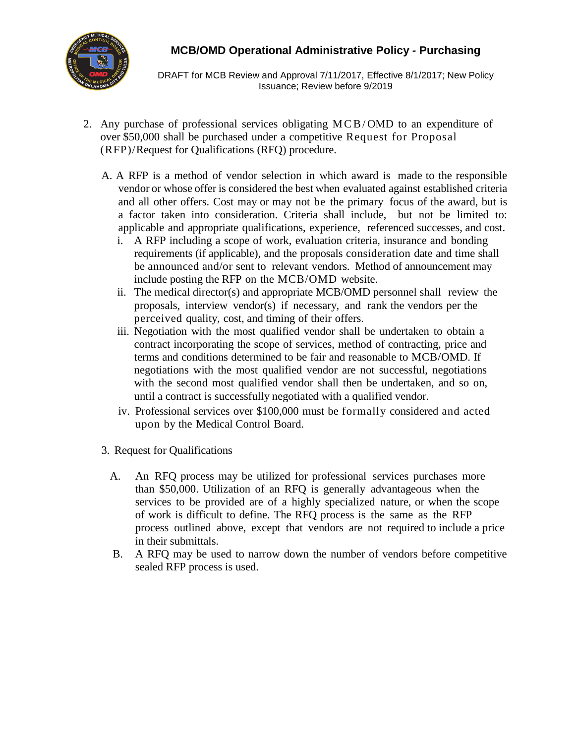

DRAFT for MCB Review and Approval 7/11/2017, Effective 8/1/2017; New Policy Issuance; Review before 9/2019

- 2. Any purchase of professional services obligating M C B / OMD to an expenditure of over \$50,000 shall be purchased under a competitive Request for Proposal (RFP)/Request for Qualifications (RFQ) procedure.
	- A. A RFP is a method of vendor selection in which award is made to the responsible vendor or whose offer is considered the best when evaluated against established criteria and all other offers. Cost may or may not be the primary focus of the award, but is a factor taken into consideration. Criteria shall include, but not be limited to: applicable and appropriate qualifications, experience, referenced successes, and cost.
		- i. A RFP including a scope of work, evaluation criteria, insurance and bonding requirements (if applicable), and the proposals consideration date and time shall be announced and/or sent to relevant vendors. Method of announcement may include posting the RFP on the MCB/OMD website.
		- ii. The medical director(s) and appropriate MCB/OMD personnel shall review the proposals, interview vendor(s) if necessary, and rank the vendors per the perceived quality, cost, and timing of their offers.
		- iii. Negotiation with the most qualified vendor shall be undertaken to obtain a contract incorporating the scope of services, method of contracting, price and terms and conditions determined to be fair and reasonable to MCB/OMD. If negotiations with the most qualified vendor are not successful, negotiations with the second most qualified vendor shall then be undertaken, and so on, until a contract is successfully negotiated with a qualified vendor.
		- iv. Professional services over \$100,000 must be formally considered and acted upon by the Medical Control Board.
	- 3. Request for Qualifications
		- A. An RFQ process may be utilized for professional services purchases more than \$50,000. Utilization of an RFQ is generally advantageous when the services to be provided are of a highly specialized nature, or when the scope of work is difficult to define. The RFQ process is the same as the RFP process outlined above, except that vendors are not required to include a price in their submittals.
		- B. A RFQ may be used to narrow down the number of vendors before competitive sealed RFP process is used.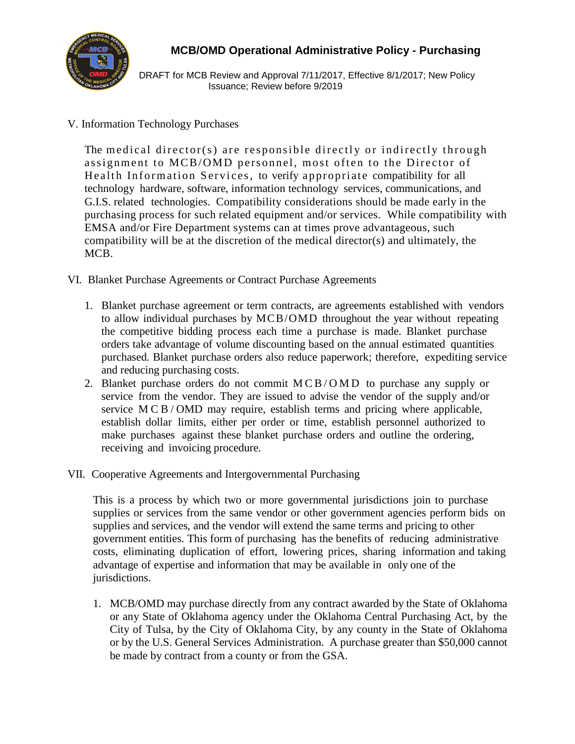

DRAFT for MCB Review and Approval 7/11/2017, Effective 8/1/2017; New Policy Issuance; Review before 9/2019

## V. Information Technology Purchases

The medical director(s) are responsible directly or indirectly through assignment to MCB/OMD personnel, most often to the Director of Health Information Services, to verify appropriate compatibility for all technology hardware, software, information technology services, communications, and G.I.S. related technologies. Compatibility considerations should be made early in the purchasing process for such related equipment and/or services. While compatibility with EMSA and/or Fire Department systems can at times prove advantageous, such compatibility will be at the discretion of the medical director(s) and ultimately, the MCB.

- VI. Blanket Purchase Agreements or Contract Purchase Agreements
	- 1. Blanket purchase agreement or term contracts, are agreements established with vendors to allow individual purchases by MCB/OMD throughout the year without repeating the competitive bidding process each time a purchase is made. Blanket purchase orders take advantage of volume discounting based on the annual estimated quantities purchased. Blanket purchase orders also reduce paperwork; therefore, expediting service and reducing purchasing costs.
	- 2. Blanket purchase orders do not commit  $MCB/OMD$  to purchase any supply or service from the vendor. They are issued to advise the vendor of the supply and/or service M C B / OMD may require, establish terms and pricing where applicable, establish dollar limits, either per order or time, establish personnel authorized to make purchases against these blanket purchase orders and outline the ordering, receiving and invoicing procedure.
- VII. Cooperative Agreements and Intergovernmental Purchasing

This is a process by which two or more governmental jurisdictions join to purchase supplies or services from the same vendor or other government agencies perform bids on supplies and services, and the vendor will extend the same terms and pricing to other government entities. This form of purchasing has the benefits of reducing administrative costs, eliminating duplication of effort, lowering prices, sharing information and taking advantage of expertise and information that may be available in only one of the jurisdictions.

1. MCB/OMD may purchase directly from any contract awarded by the State of Oklahoma or any State of Oklahoma agency under the Oklahoma Central Purchasing Act, by the City of Tulsa, by the City of Oklahoma City, by any county in the State of Oklahoma or by the U.S. General Services Administration. A purchase greater than \$50,000 cannot be made by contract from a county or from the GSA.